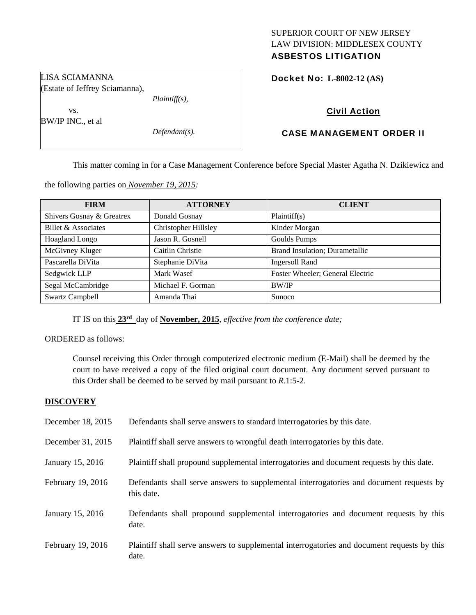## SUPERIOR COURT OF NEW JERSEY LAW DIVISION: MIDDLESEX COUNTY ASBESTOS LITIGATION

Docket No: **L-8002-12 (AS)** 

LISA SCIAMANNA (Estate of Jeffrey Sciamanna),

 vs. BW/IP INC., et al

*Defendant(s).* 

*Plaintiff(s),* 

# Civil Action

# CASE MANAGEMENT ORDER II

This matter coming in for a Case Management Conference before Special Master Agatha N. Dzikiewicz and

the following parties on *November 19, 2015:* 

| <b>FIRM</b>               | <b>ATTORNEY</b>             | <b>CLIENT</b>                    |
|---------------------------|-----------------------------|----------------------------------|
| Shivers Gosnay & Greatrex | Donald Gosnay               | Plaintiff(s)                     |
| Billet & Associates       | <b>Christopher Hillsley</b> | Kinder Morgan                    |
| Hoagland Longo            | Jason R. Gosnell            | Goulds Pumps                     |
| McGivney Kluger           | Caitlin Christie            | Brand Insulation; Durametallic   |
| Pascarella DiVita         | Stephanie DiVita            | <b>Ingersoll Rand</b>            |
| Sedgwick LLP              | Mark Wasef                  | Foster Wheeler; General Electric |
| Segal McCambridge         | Michael F. Gorman           | BW/IP                            |
| <b>Swartz Campbell</b>    | Amanda Thai                 | Sunoco                           |

IT IS on this **23rd** day of **November, 2015**, *effective from the conference date;*

ORDERED as follows:

Counsel receiving this Order through computerized electronic medium (E-Mail) shall be deemed by the court to have received a copy of the filed original court document. Any document served pursuant to this Order shall be deemed to be served by mail pursuant to *R*.1:5-2.

## **DISCOVERY**

| December 18, 2015 | Defendants shall serve answers to standard interrogatories by this date.                              |
|-------------------|-------------------------------------------------------------------------------------------------------|
| December 31, 2015 | Plaintiff shall serve answers to wrongful death interrogatories by this date.                         |
| January 15, 2016  | Plaintiff shall propound supplemental interrogatories and document requests by this date.             |
| February 19, 2016 | Defendants shall serve answers to supplemental interrogatories and document requests by<br>this date. |
| January 15, 2016  | Defendants shall propound supplemental interrogatories and document requests by this<br>date.         |
| February 19, 2016 | Plaintiff shall serve answers to supplemental interrogatories and document requests by this<br>date.  |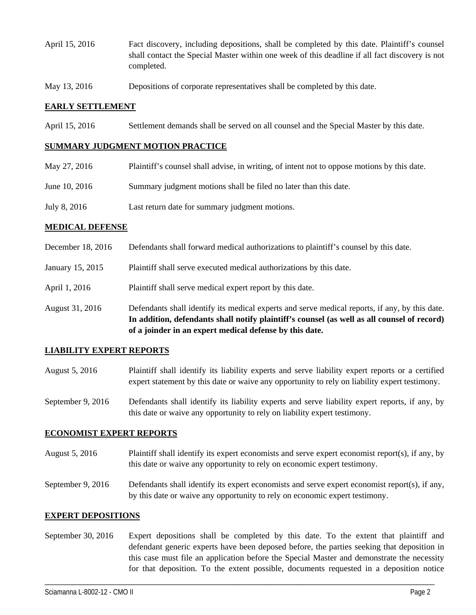- April 15, 2016 Fact discovery, including depositions, shall be completed by this date. Plaintiff's counsel shall contact the Special Master within one week of this deadline if all fact discovery is not completed.
- May 13, 2016 Depositions of corporate representatives shall be completed by this date.

#### **EARLY SETTLEMENT**

April 15, 2016 Settlement demands shall be served on all counsel and the Special Master by this date.

#### **SUMMARY JUDGMENT MOTION PRACTICE**

| May 27, 2016  | Plaintiff's counsel shall advise, in writing, of intent not to oppose motions by this date. |
|---------------|---------------------------------------------------------------------------------------------|
| June 10, 2016 | Summary judgment motions shall be filed no later than this date.                            |
| July 8, 2016  | Last return date for summary judgment motions.                                              |

#### **MEDICAL DEFENSE**

|                   | In addition, defendants shall notify plaintiff's counsel (as well as all counsel of record)<br>of a joinder in an expert medical defense by this date. |
|-------------------|--------------------------------------------------------------------------------------------------------------------------------------------------------|
| August 31, 2016   | Defendants shall identify its medical experts and serve medical reports, if any, by this date.                                                         |
| April 1, 2016     | Plaintiff shall serve medical expert report by this date.                                                                                              |
| January 15, 2015  | Plaintiff shall serve executed medical authorizations by this date.                                                                                    |
| December 18, 2016 | Defendants shall forward medical authorizations to plaintiff's counsel by this date.                                                                   |

### **LIABILITY EXPERT REPORTS**

- August 5, 2016 Plaintiff shall identify its liability experts and serve liability expert reports or a certified expert statement by this date or waive any opportunity to rely on liability expert testimony.
- September 9, 2016 Defendants shall identify its liability experts and serve liability expert reports, if any, by this date or waive any opportunity to rely on liability expert testimony.

#### **ECONOMIST EXPERT REPORTS**

- August 5, 2016 Plaintiff shall identify its expert economists and serve expert economist report(s), if any, by this date or waive any opportunity to rely on economic expert testimony.
- September 9, 2016 Defendants shall identify its expert economists and serve expert economist report(s), if any, by this date or waive any opportunity to rely on economic expert testimony.

#### **EXPERT DEPOSITIONS**

September 30, 2016 Expert depositions shall be completed by this date. To the extent that plaintiff and defendant generic experts have been deposed before, the parties seeking that deposition in this case must file an application before the Special Master and demonstrate the necessity for that deposition. To the extent possible, documents requested in a deposition notice

\_\_\_\_\_\_\_\_\_\_\_\_\_\_\_\_\_\_\_\_\_\_\_\_\_\_\_\_\_\_\_\_\_\_\_\_\_\_\_\_\_\_\_\_\_\_\_\_\_\_\_\_\_\_\_\_\_\_\_\_\_\_\_\_\_\_\_\_\_\_\_\_\_\_\_\_\_\_\_\_\_\_\_\_\_\_\_\_\_\_\_\_\_\_\_\_\_\_\_\_\_\_\_\_\_\_\_\_\_\_